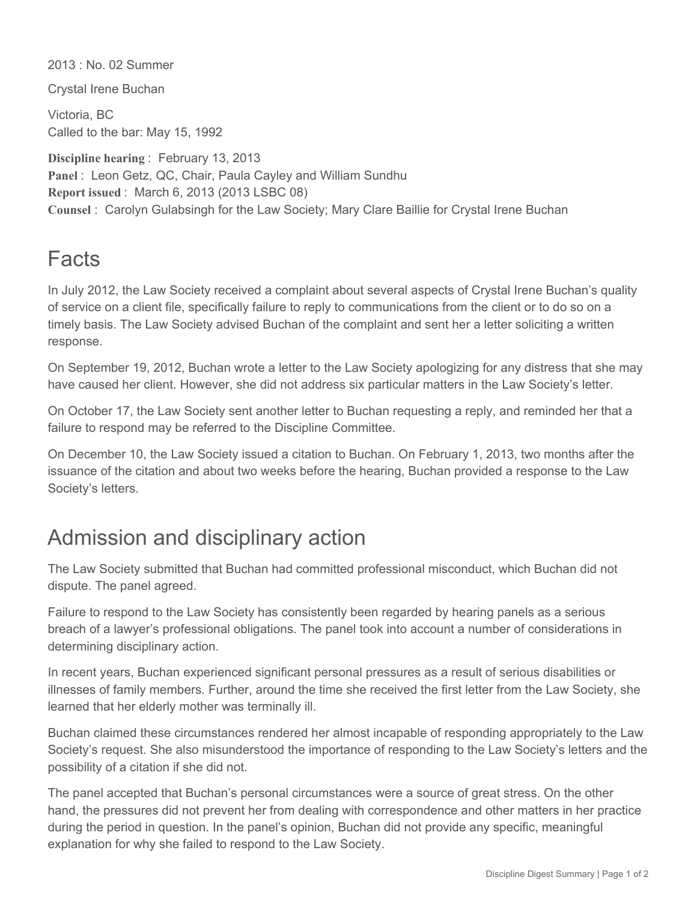2013 : No. 02 Summer

Crystal Irene Buchan

Victoria, BC Called to the bar: May 15, 1992

**Discipline hearing** : February 13, 2013 **Panel** : Leon Getz, QC, Chair, Paula Cayley and William Sundhu **Report issued** : March 6, 2013 (2013 LSBC 08) **Counsel** : Carolyn Gulabsingh for the Law Society; Mary Clare Baillie for Crystal Irene Buchan

## Facts

In July 2012, the Law Society received a complaint about several aspects of Crystal Irene Buchan's quality of service on a client file, specifically failure to reply to communications from the client or to do so on a timely basis. The Law Society advised Buchan of the complaint and sent her a letter soliciting a written response.

On September 19, 2012, Buchan wrote a letter to the Law Society apologizing for any distress that she may have caused her client. However, she did not address six particular matters in the Law Society's letter.

On October 17, the Law Society sent another letter to Buchan requesting a reply, and reminded her that a failure to respond may be referred to the Discipline Committee.

On December 10, the Law Society issued a citation to Buchan. On February 1, 2013, two months after the issuance of the citation and about two weeks before the hearing, Buchan provided a response to the Law Society's letters.

## Admission and disciplinary action

The Law Society submitted that Buchan had committed professional misconduct, which Buchan did not dispute. The panel agreed.

Failure to respond to the Law Society has consistently been regarded by hearing panels as a serious breach of a lawyer's professional obligations. The panel took into account a number of considerations in determining disciplinary action.

In recent years, Buchan experienced significant personal pressures as a result of serious disabilities or illnesses of family members. Further, around the time she received the first letter from the Law Society, she learned that her elderly mother was terminally ill.

Buchan claimed these circumstances rendered her almost incapable of responding appropriately to the Law Society's request. She also misunderstood the importance of responding to the Law Society's letters and the possibility of a citation if she did not.

The panel accepted that Buchan's personal circumstances were a source of great stress. On the other hand, the pressures did not prevent her from dealing with correspondence and other matters in her practice during the period in question. In the panel's opinion, Buchan did not provide any specific, meaningful explanation for why she failed to respond to the Law Society.